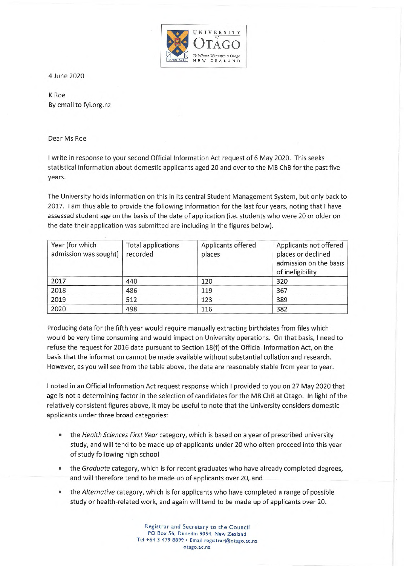

4 June 2020

K Roe By email to fyi.org.nz

Dear Ms Roe

I write in response to your second Official Information Act request of 6 May 2020. This seeks statistical information about domestic applicants aged 20 and over to the MB ChB for the past five years.

The University holds information on this in its central Student Management System, but only back to 2017. I am thus able to provide the following information for the last four years, noting that I have assessed student age on the basis of the date of application (i.e. students who were 20 or older on the date their application was submitted are including in the figures below).

| Year (for which<br>admission was sought) | <b>Total applications</b><br>recorded | Applicants offered<br>places | Applicants not offered<br>places or declined<br>admission on the basis<br>of ineligibility |
|------------------------------------------|---------------------------------------|------------------------------|--------------------------------------------------------------------------------------------|
| 2017                                     | 440                                   | 120                          | 320                                                                                        |
| 2018                                     | 486                                   | 119                          | 367                                                                                        |
| 2019                                     | 512                                   | 123                          | 389                                                                                        |
| 2020                                     | 498                                   | 116                          | 382                                                                                        |

Producing data for the fifth year would require manually extracting birthdates from files which would be very time consuming and would impact on University operations. On that basis, I need to refuse the request for 2016 data pursuant to Section 18(f) of the Official Information Act, on the basis that the information cannot be made available without substantial collation and research. However, as you will see from the table above, the data are reasonably stable from year to year.

I noted in an Official Information Act request response which I provided to you on 27 May 2020 that age is not a determining factor in the selection of candidates for the MB ChB at Otago. In light of the relatively consistent figures above, it may be useful to note that the University considers domestic applicants under three broad categories:

- the *Health Sciences First Year* category, which is based on a year of prescribed university study, and will tend to be made up of applicants under 20 who often proceed into this year of study following high school
- the *Graduate* category, which is for recent graduates who have already completed degrees, and will therefore tend to be made up of applicants over 20, and
- the *Alternative* category, which is for applicants who have completed a range of possible study or health-related work, and again will tend to be made up of applicants over 20.